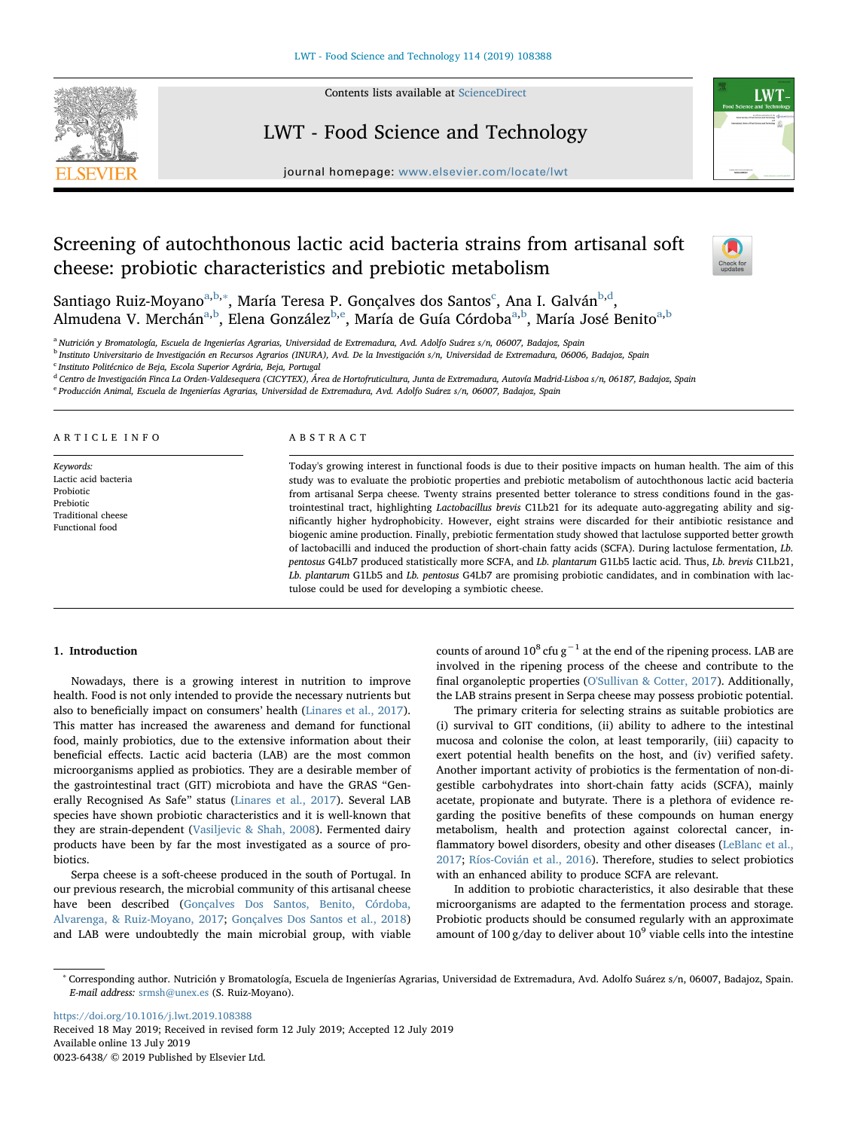

Contents lists available at [ScienceDirect](http://www.sciencedirect.com/science/journal/00236438)

## LWT - Food Science and Technology



journal homepage: [www.elsevier.com/locate/lwt](https://www.elsevier.com/locate/lwt)

# Screening of autochthonous lactic acid bacteria strains from artisanal soft cheese: probiotic characteristics and prebiotic metabolism



S[a](#page-0-0)ntiago Ruiz-Moyano<sup>a,[b](#page-0-1),</sup>\*, María Teresa P. Gonçalves dos Santos<sup>[c](#page-0-3)</sup>, Ana I. Galván<sup>b,[d](#page-0-4)</sup>, Almuden[a](#page-0-0) V. Merchán<sup>a[,b](#page-0-1)</sup>, Elena González<sup>[b,](#page-0-1)[e](#page-0-5)</sup>, María de Guía Córdoba<sup>[a,](#page-0-0)[b](#page-0-1)</sup>, María José Benito<sup>a,b</sup>

<span id="page-0-0"></span><sup>a</sup> Nutrición y Bromatología, Escuela de Ingenierías Agrarias, Universidad de Extremadura, Avd. Adolfo Suárez s/n, 06007, Badajoz, Spain

<span id="page-0-1"></span><sup>b</sup> Instituto Universitario de Investigación en Recursos Agrarios (INURA), Avd. De la Investigación s/n, Universidad de Extremadura, 06006, Badajoz, Spain

<span id="page-0-3"></span><sup>c</sup> Instituto Politécnico de Beja, Escola Superior Agrária, Beja, Portugal

<span id="page-0-4"></span><sup>d</sup> Centro de Investigación Finca La Orden-Valdesequera (CICYTEX), Área de Hortofruticultura, Junta de Extremadura, Autovía Madrid-Lisboa s/n, 06187, Badajoz, Spain

<span id="page-0-5"></span><sup>e</sup> Producción Animal, Escuela de Ingenierías Agrarias, Universidad de Extremadura, Avd. Adolfo Suárez s/n, 06007, Badajoz, Spain

### ARTICLE INFO

Keywords: Lactic acid bacteria Probiotic Prebiotic Traditional cheese Functional food

## ABSTRACT

Today's growing interest in functional foods is due to their positive impacts on human health. The aim of this study was to evaluate the probiotic properties and prebiotic metabolism of autochthonous lactic acid bacteria from artisanal Serpa cheese. Twenty strains presented better tolerance to stress conditions found in the gastrointestinal tract, highlighting Lactobacillus brevis C1Lb21 for its adequate auto-aggregating ability and significantly higher hydrophobicity. However, eight strains were discarded for their antibiotic resistance and biogenic amine production. Finally, prebiotic fermentation study showed that lactulose supported better growth of lactobacilli and induced the production of short-chain fatty acids (SCFA). During lactulose fermentation, Lb. pentosus G4Lb7 produced statistically more SCFA, and Lb. plantarum G1Lb5 lactic acid. Thus, Lb. brevis C1Lb21, Lb. plantarum G1Lb5 and Lb. pentosus G4Lb7 are promising probiotic candidates, and in combination with lactulose could be used for developing a symbiotic cheese.

## 1. Introduction

Nowadays, there is a growing interest in nutrition to improve health. Food is not only intended to provide the necessary nutrients but also to beneficially impact on consumers' health ([Linares et al., 2017](#page-6-0)). This matter has increased the awareness and demand for functional food, mainly probiotics, due to the extensive information about their beneficial effects. Lactic acid bacteria (LAB) are the most common microorganisms applied as probiotics. They are a desirable member of the gastrointestinal tract (GIT) microbiota and have the GRAS "Generally Recognised As Safe" status [\(Linares et al., 2017](#page-6-0)). Several LAB species have shown probiotic characteristics and it is well-known that they are strain-dependent [\(Vasiljevic & Shah, 2008](#page-6-1)). Fermented dairy products have been by far the most investigated as a source of probiotics.

Serpa cheese is a soft-cheese produced in the south of Portugal. In our previous research, the microbial community of this artisanal cheese have been described [\(Gonçalves Dos Santos, Benito, Córdoba,](#page-6-2) [Alvarenga, & Ruiz-Moyano, 2017](#page-6-2); [Gonçalves Dos Santos et al., 2018\)](#page-6-3) and LAB were undoubtedly the main microbial group, with viable

counts of around  $10^8$  cfu g<sup>-1</sup> at the end of the ripening process. LAB are involved in the ripening process of the cheese and contribute to the final organoleptic properties ([O'Sullivan & Cotter, 2017\)](#page-6-4). Additionally, the LAB strains present in Serpa cheese may possess probiotic potential.

The primary criteria for selecting strains as suitable probiotics are (i) survival to GIT conditions, (ii) ability to adhere to the intestinal mucosa and colonise the colon, at least temporarily, (iii) capacity to exert potential health benefits on the host, and (iv) verified safety. Another important activity of probiotics is the fermentation of non-digestible carbohydrates into short-chain fatty acids (SCFA), mainly acetate, propionate and butyrate. There is a plethora of evidence regarding the positive benefits of these compounds on human energy metabolism, health and protection against colorectal cancer, inflammatory bowel disorders, obesity and other diseases ([LeBlanc et al.,](#page-6-5) [2017;](#page-6-5) [Ríos-Covián et al., 2016\)](#page-6-6). Therefore, studies to select probiotics with an enhanced ability to produce SCFA are relevant.

In addition to probiotic characteristics, it also desirable that these microorganisms are adapted to the fermentation process and storage. Probiotic products should be consumed regularly with an approximate amount of 100 g/day to deliver about  $10^9$  viable cells into the intestine

<https://doi.org/10.1016/j.lwt.2019.108388> Received 18 May 2019; Received in revised form 12 July 2019; Accepted 12 July 2019 Available online 13 July 2019 0023-6438/ © 2019 Published by Elsevier Ltd.

<span id="page-0-2"></span><sup>∗</sup> Corresponding author. Nutrición y Bromatología, Escuela de Ingenierías Agrarias, Universidad de Extremadura, Avd. Adolfo Suárez s/n, 06007, Badajoz, Spain. E-mail address: [srmsh@unex.es](mailto:srmsh@unex.es) (S. Ruiz-Moyano).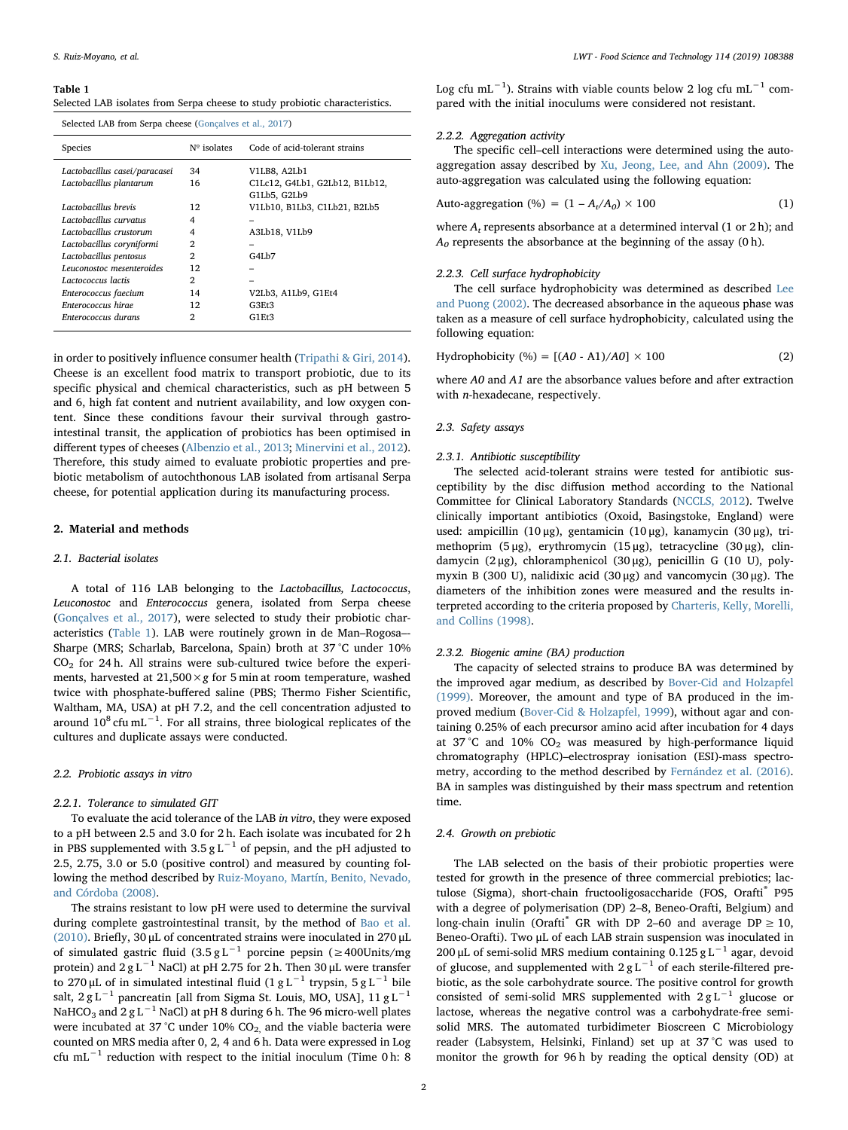#### <span id="page-1-0"></span>Table 1

Selected LAB isolates from Serpa cheese to study probiotic characteristics.

| Selected LAB from Serpa cheese (Goncalves et al., 2017) |                      |                                |  |  |  |  |
|---------------------------------------------------------|----------------------|--------------------------------|--|--|--|--|
| Species                                                 | $N^{\circ}$ isolates | Code of acid-tolerant strains  |  |  |  |  |
| Lactobacillus casei/paracasei                           | 34                   | V1LB8, A2Lb1                   |  |  |  |  |
| Lactobacillus plantarum                                 | 16                   | C1Lc12, G4Lb1, G2Lb12, B1Lb12, |  |  |  |  |
|                                                         |                      | G1Lb5, G2Lb9                   |  |  |  |  |
| Lactobacillus brevis                                    | 12                   | V1Lb10, B1Lb3, C1Lb21, B2Lb5   |  |  |  |  |
| Lactobacillus curvatus                                  | 4                    |                                |  |  |  |  |
| Lactobacillus crustorum                                 | 4                    | A3Lb18, V1Lb9                  |  |  |  |  |
| Lactobacillus coryniformi                               | $\overline{2}$       |                                |  |  |  |  |
| Lactobacillus pentosus                                  | $\mathfrak{D}$       | G4I.b7                         |  |  |  |  |
| Leuconostoc mesenteroides                               | 12                   |                                |  |  |  |  |
| Lactococcus lactis                                      | $\mathfrak{D}$       |                                |  |  |  |  |
| Enterococcus faecium                                    | 14                   | V2Lb3, A1Lb9, G1Et4            |  |  |  |  |
| Enterococcus hirae                                      | 12                   | G3Et3                          |  |  |  |  |
| Enterococcus durans                                     | 2                    | G1Et3                          |  |  |  |  |

in order to positively influence consumer health ([Tripathi & Giri, 2014](#page-6-7)). Cheese is an excellent food matrix to transport probiotic, due to its specific physical and chemical characteristics, such as pH between 5 and 6, high fat content and nutrient availability, and low oxygen content. Since these conditions favour their survival through gastrointestinal transit, the application of probiotics has been optimised in different types of cheeses ([Albenzio et al., 2013](#page-6-8); [Minervini et al., 2012](#page-6-9)). Therefore, this study aimed to evaluate probiotic properties and prebiotic metabolism of autochthonous LAB isolated from artisanal Serpa cheese, for potential application during its manufacturing process.

## 2. Material and methods

## 2.1. Bacterial isolates

A total of 116 LAB belonging to the Lactobacillus, Lactococcus, Leuconostoc and Enterococcus genera, isolated from Serpa cheese ([Gonçalves et al., 2017\)](#page-6-2), were selected to study their probiotic characteristics [\(Table 1\)](#page-1-0). LAB were routinely grown in de Man–Rogosa–- Sharpe (MRS; Scharlab, Barcelona, Spain) broth at 37 °C under 10%  $CO<sub>2</sub>$  for 24 h. All strains were sub-cultured twice before the experiments, harvested at  $21,500 \times g$  for 5 min at room temperature, washed twice with phosphate-buffered saline (PBS; Thermo Fisher Scientific, Waltham, MA, USA) at pH 7.2, and the cell concentration adjusted to around  $10^8$  cfu mL<sup>-1</sup>. For all strains, three biological replicates of the cultures and duplicate assays were conducted.

#### 2.2. Probiotic assays in vitro

#### 2.2.1. Tolerance to simulated GIT

To evaluate the acid tolerance of the LAB in vitro, they were exposed to a pH between 2.5 and 3.0 for 2 h. Each isolate was incubated for 2 h in PBS supplemented with  $3.5 g L^{-1}$  of pepsin, and the pH adjusted to 2.5, 2.75, 3.0 or 5.0 (positive control) and measured by counting following the method described by [Ruiz-Moyano, Martín, Benito, Nevado,](#page-6-10) [and Córdoba \(2008\).](#page-6-10)

The strains resistant to low pH were used to determine the survival during complete gastrointestinal transit, by the method of [Bao et al.](#page-6-11) [\(2010\).](#page-6-11) Briefly, 30 μL of concentrated strains were inoculated in 270 μL of simulated gastric fluid  $(3.5 g L^{-1})$  porcine pepsin (≥400Units/mg protein) and  $2 g L^{-1}$  NaCl) at pH 2.75 for 2 h. Then 30 µL were transfer to 270 μL of in simulated intestinal fluid (1 g L<sup>-1</sup> trypsin, 5 g L<sup>-1</sup> bile salt, 2 g L<sup>-1</sup> pancreatin [all from Sigma St. Louis, MO, USA], 11 g L<sup>-1</sup> NaHCO<sub>3</sub> and 2 g L<sup>−1</sup> NaCl) at pH 8 during 6 h. The 96 micro-well plates were incubated at 37 °C under 10%  $CO<sub>2</sub>$  and the viable bacteria were counted on MRS media after 0, 2, 4 and 6 h. Data were expressed in Log cfu mL−<sup>1</sup> reduction with respect to the initial inoculum (Time 0 h: 8

Log cfu mL<sup>-1</sup>). Strains with viable counts below 2 log cfu mL<sup>-1</sup> compared with the initial inoculums were considered not resistant.

#### 2.2.2. Aggregation activity

The specific cell–cell interactions were determined using the autoaggregation assay described by [Xu, Jeong, Lee, and Ahn \(2009\).](#page-6-12) The auto-aggregation was calculated using the following equation:

$$
Auto-aggregation (\%) = (1 - A_t/A_0) \times 100 \tag{1}
$$

where  $A_t$  represents absorbance at a determined interval (1 or 2 h); and  $A_0$  represents the absorbance at the beginning of the assay (0 h).

## 2.2.3. Cell surface hydrophobicity

The cell surface hydrophobicity was determined as described [Lee](#page-6-13) [and Puong \(2002\)](#page-6-13). The decreased absorbance in the aqueous phase was taken as a measure of cell surface hydrophobicity, calculated using the following equation:

Hydrophobicity (%) = 
$$
[(A0 - A1)/A0] \times 100
$$
 (2)

where A0 and A1 are the absorbance values before and after extraction with n-hexadecane, respectively.

#### 2.3. Safety assays

## 2.3.1. Antibiotic susceptibility

The selected acid-tolerant strains were tested for antibiotic susceptibility by the disc diffusion method according to the National Committee for Clinical Laboratory Standards ([NCCLS, 2012\)](#page-6-14). Twelve clinically important antibiotics (Oxoid, Basingstoke, England) were used: ampicillin (10 μg), gentamicin (10 μg), kanamycin (30 μg), trimethoprim (5 μg), erythromycin (15 μg), tetracycline (30 μg), clindamycin (2 μg), chloramphenicol (30 μg), penicillin G (10 U), polymyxin B (300 U), nalidixic acid (30 μg) and vancomycin (30 μg). The diameters of the inhibition zones were measured and the results interpreted according to the criteria proposed by [Charteris, Kelly, Morelli,](#page-6-15) [and Collins \(1998\)](#page-6-15).

## 2.3.2. Biogenic amine (BA) production

The capacity of selected strains to produce BA was determined by the improved agar medium, as described by [Bover-Cid and Holzapfel](#page-6-16) [\(1999\).](#page-6-16) Moreover, the amount and type of BA produced in the improved medium [\(Bover-Cid & Holzapfel, 1999\)](#page-6-16), without agar and containing 0.25% of each precursor amino acid after incubation for 4 days at 37 °C and 10%  $CO<sub>2</sub>$  was measured by high-performance liquid chromatography (HPLC)–electrospray ionisation (ESI)-mass spectrometry, according to the method described by [Fernández et al. \(2016\)](#page-6-17). BA in samples was distinguished by their mass spectrum and retention time.

## 2.4. Growth on prebiotic

The LAB selected on the basis of their probiotic properties were tested for growth in the presence of three commercial prebiotics; lactulose (Sigma), short-chain fructooligosaccharide (FOS, Orafti® P95 with a degree of polymerisation (DP) 2–8, Beneo-Orafti, Belgium) and long-chain inulin (Orafti<sup>®</sup> GR with DP 2–60 and average DP  $\geq$  10, Beneo-Orafti). Two μL of each LAB strain suspension was inoculated in 200 μL of semi-solid MRS medium containing 0.125 g L<sup>-1</sup> agar, devoid of glucose, and supplemented with  $2 g L^{-1}$  of each sterile-filtered prebiotic, as the sole carbohydrate source. The positive control for growth consisted of semi-solid MRS supplemented with  $2 g L^{-1}$  glucose or lactose, whereas the negative control was a carbohydrate-free semisolid MRS. The automated turbidimeter Bioscreen C Microbiology reader (Labsystem, Helsinki, Finland) set up at 37 °C was used to monitor the growth for 96 h by reading the optical density (OD) at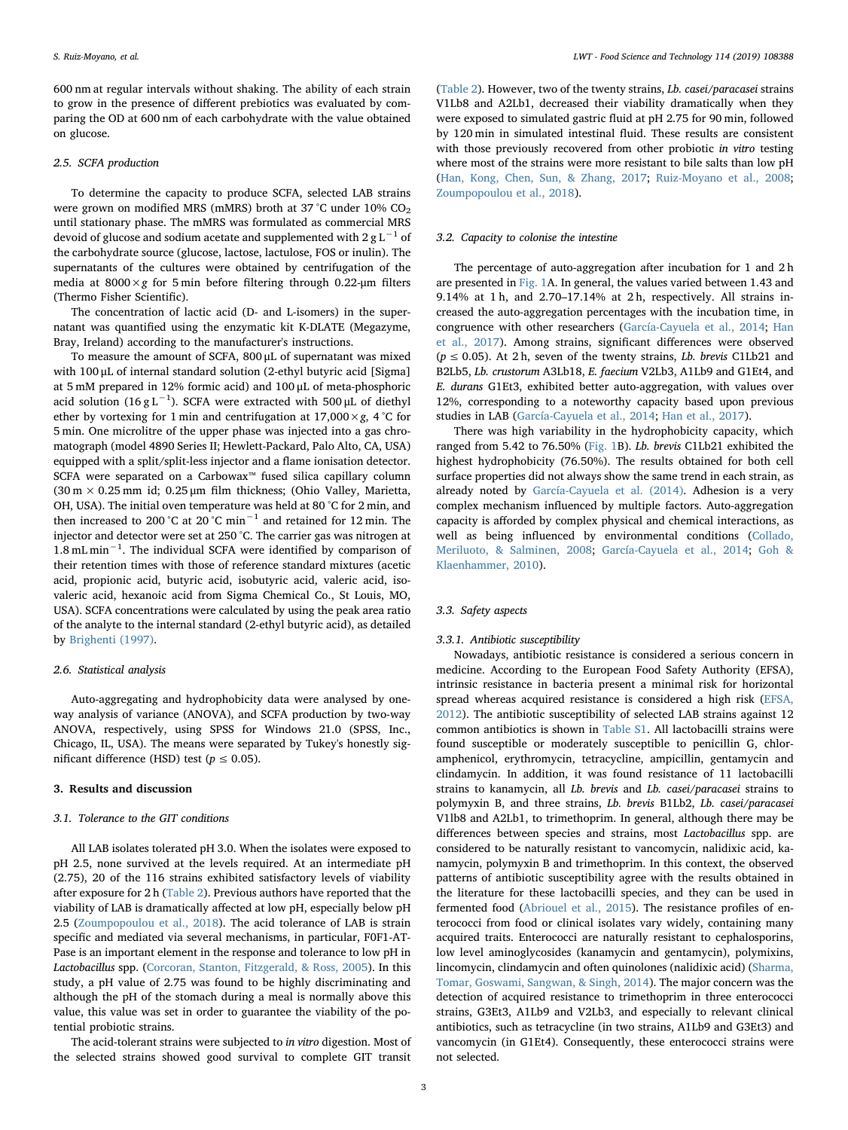600 nm at regular intervals without shaking. The ability of each strain to grow in the presence of different prebiotics was evaluated by comparing the OD at 600 nm of each carbohydrate with the value obtained on glucose.

#### 2.5. SCFA production

To determine the capacity to produce SCFA, selected LAB strains were grown on modified MRS (mMRS) broth at 37 °C under 10%  $CO<sub>2</sub>$ until stationary phase. The mMRS was formulated as commercial MRS devoid of glucose and sodium acetate and supplemented with 2 g  $L^{-1}$  of the carbohydrate source (glucose, lactose, lactulose, FOS or inulin). The supernatants of the cultures were obtained by centrifugation of the media at  $8000 \times g$  for 5 min before filtering through 0.22-µm filters (Thermo Fisher Scientific).

The concentration of lactic acid (D- and L-isomers) in the supernatant was quantified using the enzymatic kit K-DLATE (Megazyme, Bray, Ireland) according to the manufacturer's instructions.

To measure the amount of SCFA, 800 μL of supernatant was mixed with 100 μL of internal standard solution (2-ethyl butyric acid [Sigma] at 5 mM prepared in 12% formic acid) and 100 μL of meta-phosphoric acid solution (16 g  $\text{L}^{-1}$ ). SCFA were extracted with 500 µL of diethyl ether by vortexing for 1 min and centrifugation at  $17,000 \times g$ , 4 °C for 5 min. One microlitre of the upper phase was injected into a gas chromatograph (model 4890 Series II; Hewlett-Packard, Palo Alto, CA, USA) equipped with a split/split-less injector and a flame ionisation detector. SCFA were separated on a Carbowax™ fused silica capillary column (30 m × 0.25 mm id; 0.25 μm film thickness; (Ohio Valley, Marietta, OH, USA). The initial oven temperature was held at 80 °C for 2 min, and then increased to 200 °C at 20 °C min−<sup>1</sup> and retained for 12 min. The injector and detector were set at 250 °C. The carrier gas was nitrogen at 1.8 mL min<sup>-1</sup>. The individual SCFA were identified by comparison of their retention times with those of reference standard mixtures (acetic acid, propionic acid, butyric acid, isobutyric acid, valeric acid, isovaleric acid, hexanoic acid from Sigma Chemical Co., St Louis, MO, USA). SCFA concentrations were calculated by using the peak area ratio of the analyte to the internal standard (2-ethyl butyric acid), as detailed by [Brighenti \(1997\)](#page-6-18).

#### 2.6. Statistical analysis

Auto-aggregating and hydrophobicity data were analysed by oneway analysis of variance (ANOVA), and SCFA production by two-way ANOVA, respectively, using SPSS for Windows 21.0 (SPSS, Inc., Chicago, IL, USA). The means were separated by Tukey's honestly significant difference (HSD) test ( $p \le 0.05$ ).

#### 3. Results and discussion

#### 3.1. Tolerance to the GIT conditions

All LAB isolates tolerated pH 3.0. When the isolates were exposed to pH 2.5, none survived at the levels required. At an intermediate pH (2.75), 20 of the 116 strains exhibited satisfactory levels of viability after exposure for 2 h ([Table 2\)](#page-3-0). Previous authors have reported that the viability of LAB is dramatically affected at low pH, especially below pH 2.5 ([Zoumpopoulou et al., 2018\)](#page-6-19). The acid tolerance of LAB is strain specific and mediated via several mechanisms, in particular, F0F1-AT-Pase is an important element in the response and tolerance to low pH in Lactobacillus spp. [\(Corcoran, Stanton, Fitzgerald, & Ross, 2005](#page-6-20)). In this study, a pH value of 2.75 was found to be highly discriminating and although the pH of the stomach during a meal is normally above this value, this value was set in order to guarantee the viability of the potential probiotic strains.

The acid-tolerant strains were subjected to in vitro digestion. Most of the selected strains showed good survival to complete GIT transit

([Table 2\)](#page-3-0). However, two of the twenty strains, Lb. casei/paracasei strains V1Lb8 and A2Lb1, decreased their viability dramatically when they were exposed to simulated gastric fluid at pH 2.75 for 90 min, followed by 120 min in simulated intestinal fluid. These results are consistent with those previously recovered from other probiotic in vitro testing where most of the strains were more resistant to bile salts than low pH ([Han, Kong, Chen, Sun, & Zhang, 2017;](#page-6-21) [Ruiz-Moyano et al., 2008](#page-6-10); [Zoumpopoulou et al., 2018\)](#page-6-19).

## 3.2. Capacity to colonise the intestine

The percentage of auto-aggregation after incubation for 1 and 2 h are presented in [Fig. 1](#page-4-0)A. In general, the values varied between 1.43 and 9.14% at 1 h, and 2.70–17.14% at 2 h, respectively. All strains increased the auto-aggregation percentages with the incubation time, in congruence with other researchers [\(García-Cayuela et al., 2014;](#page-6-22) [Han](#page-6-21) [et al., 2017](#page-6-21)). Among strains, significant differences were observed  $(p \le 0.05)$ . At 2 h, seven of the twenty strains, Lb. brevis C1Lb21 and B2Lb5, Lb. crustorum A3Lb18, E. faecium V2Lb3, A1Lb9 and G1Et4, and E. durans G1Et3, exhibited better auto-aggregation, with values over 12%, corresponding to a noteworthy capacity based upon previous studies in LAB [\(García-Cayuela et al., 2014](#page-6-22); [Han et al., 2017](#page-6-21)).

There was high variability in the hydrophobicity capacity, which ranged from 5.42 to 76.50% ([Fig. 1B](#page-4-0)). Lb. brevis C1Lb21 exhibited the highest hydrophobicity (76.50%). The results obtained for both cell surface properties did not always show the same trend in each strain, as already noted by [García-Cayuela et al. \(2014\)](#page-6-22). Adhesion is a very complex mechanism influenced by multiple factors. Auto-aggregation capacity is afforded by complex physical and chemical interactions, as well as being influenced by environmental conditions [\(Collado,](#page-6-23) [Meriluoto, & Salminen, 2008](#page-6-23); [García-Cayuela et al., 2014](#page-6-22); [Goh &](#page-6-24) [Klaenhammer, 2010\)](#page-6-24).

## 3.3. Safety aspects

## 3.3.1. Antibiotic susceptibility

Nowadays, antibiotic resistance is considered a serious concern in medicine. According to the European Food Safety Authority (EFSA), intrinsic resistance in bacteria present a minimal risk for horizontal spread whereas acquired resistance is considered a high risk ([EFSA,](#page-6-25) [2012\)](#page-6-25). The antibiotic susceptibility of selected LAB strains against 12 common antibiotics is shown in Table S1. All lactobacilli strains were found susceptible or moderately susceptible to penicillin G, chloramphenicol, erythromycin, tetracycline, ampicillin, gentamycin and clindamycin. In addition, it was found resistance of 11 lactobacilli strains to kanamycin, all Lb. brevis and Lb. casei/paracasei strains to polymyxin B, and three strains, Lb. brevis B1Lb2, Lb. casei/paracasei V1lb8 and A2Lb1, to trimethoprim. In general, although there may be differences between species and strains, most Lactobacillus spp. are considered to be naturally resistant to vancomycin, nalidixic acid, kanamycin, polymyxin B and trimethoprim. In this context, the observed patterns of antibiotic susceptibility agree with the results obtained in the literature for these lactobacilli species, and they can be used in fermented food ([Abriouel et al., 2015\)](#page-6-26). The resistance profiles of enterococci from food or clinical isolates vary widely, containing many acquired traits. Enterococci are naturally resistant to cephalosporins, low level aminoglycosides (kanamycin and gentamycin), polymixins, lincomycin, clindamycin and often quinolones (nalidixic acid) ([Sharma,](#page-6-27) [Tomar, Goswami, Sangwan, & Singh, 2014](#page-6-27)). The major concern was the detection of acquired resistance to trimethoprim in three enterococci strains, G3Et3, A1Lb9 and V2Lb3, and especially to relevant clinical antibiotics, such as tetracycline (in two strains, A1Lb9 and G3Et3) and vancomycin (in G1Et4). Consequently, these enterococci strains were not selected.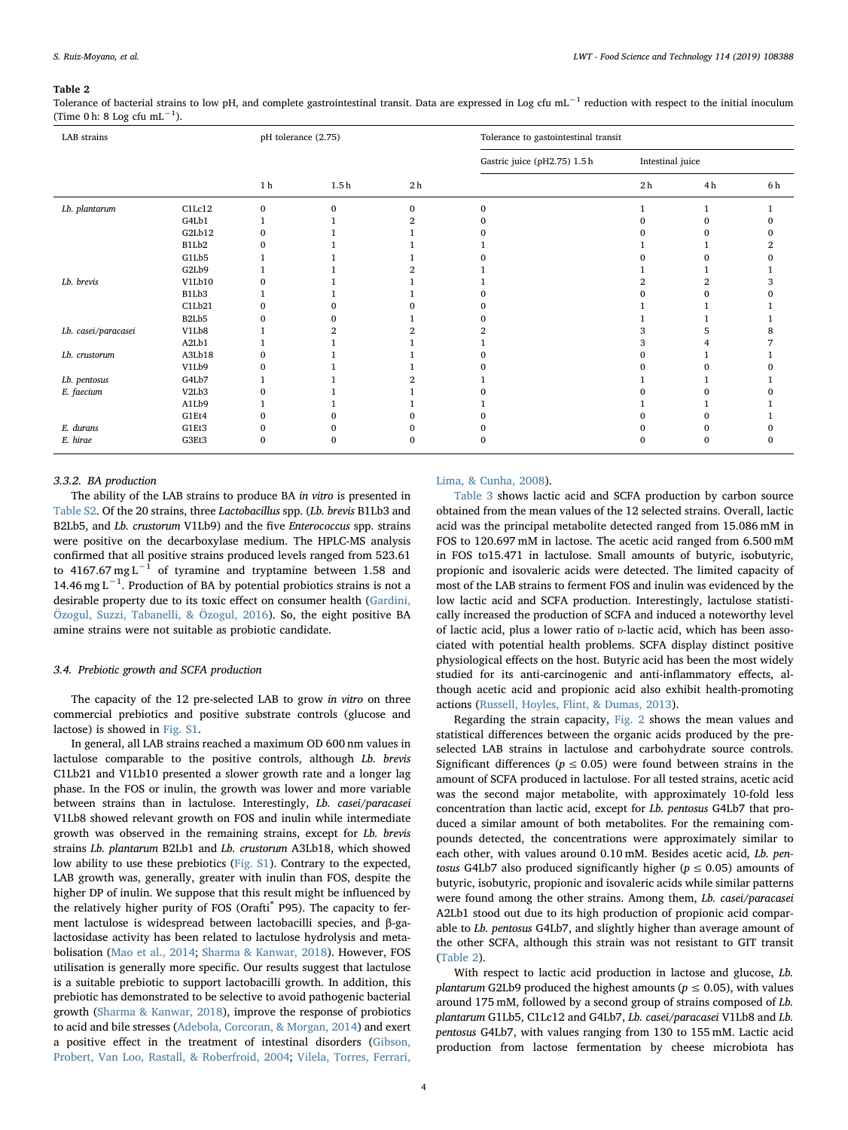#### <span id="page-3-0"></span>Table 2

Tolerance of bacterial strains to low pH, and complete gastrointestinal transit. Data are expressed in Log cfu mL<sup>-1</sup> reduction with respect to the initial inoculum (Time 0 h: 8 Log cfu mL<sup>-1</sup>).

| LAB strains         |        | pH tolerance (2.75) |             |                              |              | Tolerance to gastointestinal transit |    |     |  |
|---------------------|--------|---------------------|-------------|------------------------------|--------------|--------------------------------------|----|-----|--|
|                     |        |                     |             | Gastric juice (pH2.75) 1.5 h |              | Intestinal juice                     |    |     |  |
|                     |        | 1 <sub>h</sub>      | 1.5h        | 2 <sub>h</sub>               |              | 2 <sub>h</sub>                       | 4h | 6 h |  |
| Lb. plantarum       | C1Lc12 | $\mathbf{0}$        | $\mathbf 0$ | $\Omega$                     | $\mathbf{0}$ |                                      |    |     |  |
|                     | G4Lb1  |                     |             |                              |              |                                      |    |     |  |
|                     | G2Lb12 | $\Omega$            |             |                              |              |                                      |    |     |  |
|                     | B1Lb2  |                     |             |                              |              |                                      |    |     |  |
|                     | G1Lb5  |                     |             |                              |              |                                      |    |     |  |
|                     | G2Lb9  |                     |             |                              |              |                                      |    |     |  |
| Lb. brevis          | V1Lb10 |                     |             |                              |              |                                      |    |     |  |
|                     | B1Lb3  |                     |             |                              |              |                                      |    |     |  |
|                     | C1Lb21 |                     |             |                              |              |                                      |    |     |  |
|                     | B2Lb5  |                     |             |                              |              |                                      |    |     |  |
| Lb. casei/paracasei | V1Lb8  |                     |             |                              |              |                                      |    |     |  |
|                     | A2Lb1  |                     |             |                              |              |                                      |    |     |  |
| Lb. crustorum       | A3Lb18 |                     |             |                              |              |                                      |    |     |  |
|                     | V1Lb9  |                     |             |                              |              |                                      |    |     |  |
| Lb. pentosus        | G4Lb7  |                     |             |                              |              |                                      |    |     |  |
| E. faecium          | V2Lb3  |                     |             |                              |              |                                      |    |     |  |
|                     | A1Lb9  |                     |             |                              |              |                                      |    |     |  |
|                     | G1Et4  |                     |             |                              |              |                                      |    |     |  |
| E. durans           | G1Et3  |                     |             |                              |              |                                      |    |     |  |
| E. hirae            | G3Et3  | $\Omega$            | 0           |                              | $\Omega$     | 0                                    |    | 0   |  |

#### 3.3.2. BA production

The ability of the LAB strains to produce BA in vitro is presented in Table S2. Of the 20 strains, three Lactobacillus spp. (Lb. brevis B1Lb3 and B2Lb5, and Lb. crustorum V1Lb9) and the five Enterococcus spp. strains were positive on the decarboxylase medium. The HPLC-MS analysis confirmed that all positive strains produced levels ranged from 523.61 to 4167.67 mg L<sup>-1</sup> of tyramine and tryptamine between 1.58 and 14.46 mg L<sup>-1</sup>. Production of BA by potential probiotics strains is not a desirable property due to its toxic effect on consumer health ([Gardini,](#page-6-28) [Özogul, Suzzi, Tabanelli, & Özogul, 2016\)](#page-6-28). So, the eight positive BA amine strains were not suitable as probiotic candidate.

#### 3.4. Prebiotic growth and SCFA production

The capacity of the 12 pre-selected LAB to grow in vitro on three commercial prebiotics and positive substrate controls (glucose and lactose) is showed in Fig. S1.

In general, all LAB strains reached a maximum OD 600 nm values in lactulose comparable to the positive controls, although Lb. brevis C1Lb21 and V1Lb10 presented a slower growth rate and a longer lag phase. In the FOS or inulin, the growth was lower and more variable between strains than in lactulose. Interestingly, Lb. casei/paracasei V1Lb8 showed relevant growth on FOS and inulin while intermediate growth was observed in the remaining strains, except for Lb. brevis strains Lb. plantarum B2Lb1 and Lb. crustorum A3Lb18, which showed low ability to use these prebiotics (Fig. S1). Contrary to the expected, LAB growth was, generally, greater with inulin than FOS, despite the higher DP of inulin. We suppose that this result might be influenced by the relatively higher purity of FOS (Orafti® P95). The capacity to ferment lactulose is widespread between lactobacilli species, and β-galactosidase activity has been related to lactulose hydrolysis and metabolisation [\(Mao et al., 2014](#page-6-29); [Sharma & Kanwar, 2018\)](#page-6-30). However, FOS utilisation is generally more specific. Our results suggest that lactulose is a suitable prebiotic to support lactobacilli growth. In addition, this prebiotic has demonstrated to be selective to avoid pathogenic bacterial growth ([Sharma & Kanwar, 2018](#page-6-30)), improve the response of probiotics to acid and bile stresses ([Adebola, Corcoran, & Morgan, 2014\)](#page-6-31) and exert a positive effect in the treatment of intestinal disorders [\(Gibson,](#page-6-32) [Probert, Van Loo, Rastall, & Roberfroid, 2004;](#page-6-32) [Vilela, Torres, Ferrari,](#page-6-33)

## [Lima, & Cunha, 2008\)](#page-6-33).

[Table 3](#page-4-1) shows lactic acid and SCFA production by carbon source obtained from the mean values of the 12 selected strains. Overall, lactic acid was the principal metabolite detected ranged from 15.086 mM in FOS to 120.697 mM in lactose. The acetic acid ranged from 6.500 mM in FOS to15.471 in lactulose. Small amounts of butyric, isobutyric, propionic and isovaleric acids were detected. The limited capacity of most of the LAB strains to ferment FOS and inulin was evidenced by the low lactic acid and SCFA production. Interestingly, lactulose statistically increased the production of SCFA and induced a noteworthy level of lactic acid, plus a lower ratio of p-lactic acid, which has been associated with potential health problems. SCFA display distinct positive physiological effects on the host. Butyric acid has been the most widely studied for its anti-carcinogenic and anti-inflammatory effects, although acetic acid and propionic acid also exhibit health-promoting actions [\(Russell, Hoyles, Flint, & Dumas, 2013\)](#page-6-34).

Regarding the strain capacity, [Fig. 2](#page-5-0) shows the mean values and statistical differences between the organic acids produced by the preselected LAB strains in lactulose and carbohydrate source controls. Significant differences ( $p \le 0.05$ ) were found between strains in the amount of SCFA produced in lactulose. For all tested strains, acetic acid was the second major metabolite, with approximately 10-fold less concentration than lactic acid, except for Lb. pentosus G4Lb7 that produced a similar amount of both metabolites. For the remaining compounds detected, the concentrations were approximately similar to each other, with values around 0.10 mM. Besides acetic acid, Lb. pentosus G4Lb7 also produced significantly higher ( $p \le 0.05$ ) amounts of butyric, isobutyric, propionic and isovaleric acids while similar patterns were found among the other strains. Among them, Lb. casei/paracasei A2Lb1 stood out due to its high production of propionic acid comparable to Lb. pentosus G4Lb7, and slightly higher than average amount of the other SCFA, although this strain was not resistant to GIT transit ([Table 2](#page-3-0)).

With respect to lactic acid production in lactose and glucose, Lb. plantarum G2Lb9 produced the highest amounts ( $p \le 0.05$ ), with values around 175 mM, followed by a second group of strains composed of Lb. plantarum G1Lb5, C1Lc12 and G4Lb7, Lb. casei/paracasei V1Lb8 and Lb. pentosus G4Lb7, with values ranging from 130 to 155 mM. Lactic acid production from lactose fermentation by cheese microbiota has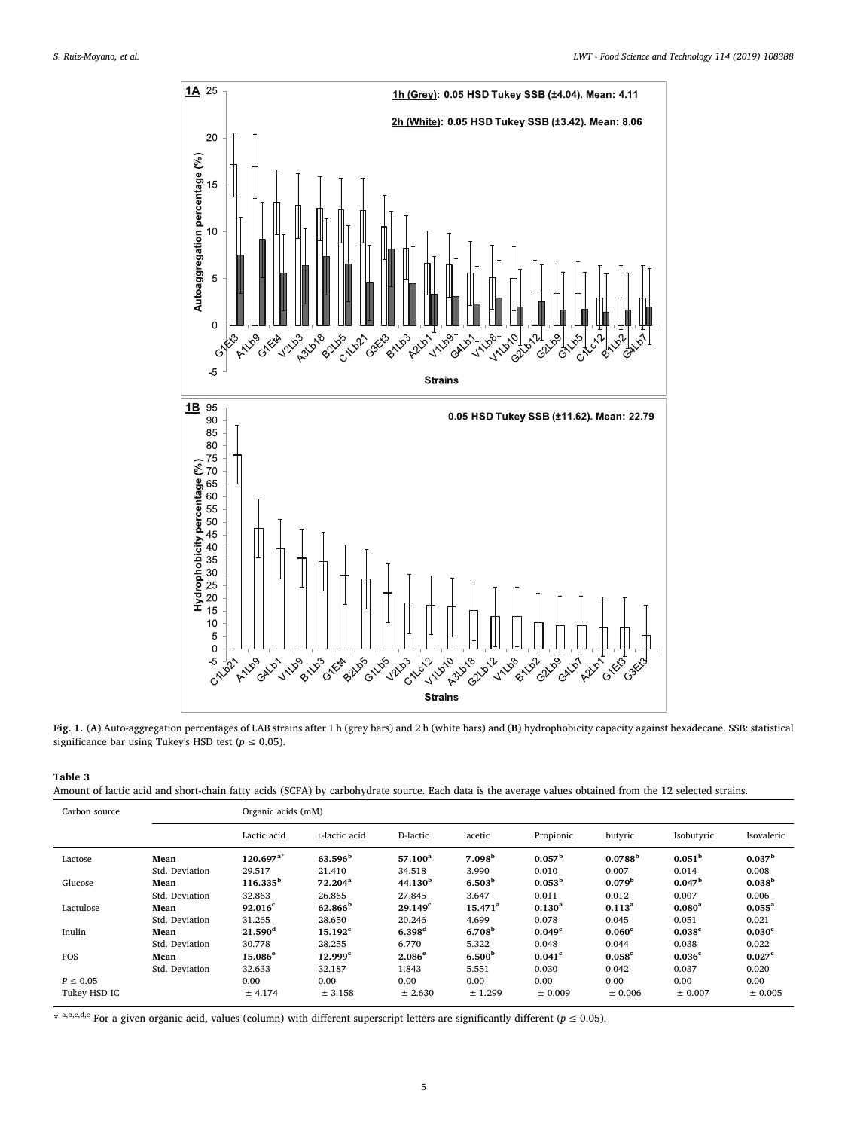<span id="page-4-0"></span>

Fig. 1. (A) Auto-aggregation percentages of LAB strains after 1 h (grey bars) and 2 h (white bars) and (B) hydrophobicity capacity against hexadecane. SSB: statistical significance bar using Tukey's HSD test ( $p \le 0.05$ ).

## <span id="page-4-1"></span>Table 3

| Amount of lactic acid and short-chain fatty acids (SCFA) by carbohydrate source. Each data is the average values obtained from the 12 selected strains |  |
|--------------------------------------------------------------------------------------------------------------------------------------------------------|--|
|--------------------------------------------------------------------------------------------------------------------------------------------------------|--|

| Carbon source |                | Organic acids (mM)  |                       |                      |                    |                      |                      |                      |                      |
|---------------|----------------|---------------------|-----------------------|----------------------|--------------------|----------------------|----------------------|----------------------|----------------------|
|               |                | Lactic acid         | L-lactic acid         | D-lactic             | acetic             | Propionic            | butyric              | Isobutyric           | Isovaleric           |
| Lactose       | Mean           | $120.697^{a*}$      | 63.596 <sup>b</sup>   | $57.100^a$           | 7.098 <sup>b</sup> | 0.057 <sup>b</sup>   | 0.0788 <sup>b</sup>  | 0.051 <sup>b</sup>   | 0.037 <sup>b</sup>   |
|               | Std. Deviation | 29.517              | 21.410                | 34.518               | 3.990              | 0.010                | 0.007                | 0.014                | 0.008                |
| Glucose       | Mean           | $116.335^b$         | $72.204^a$            | 44.130 <sup>b</sup>  | 6.503 <sup>b</sup> | $0.053^{\rm b}$      | 0.079 <sup>b</sup>   | 0.047 <sup>b</sup>   | 0.038 <sup>b</sup>   |
|               | Std. Deviation | 32.863              | 26.865                | 27.845               | 3.647              | 0.011                | 0.012                | 0.007                | 0.006                |
| Lactulose     | Mean           | $92.016^{\circ}$    | $62.866^{\rm b}$      | 29.149 <sup>c</sup>  | $15.471^a$         | $0.130^{a}$          | $0.113^{a}$          | $0.080^{a}$          | $0.055^{\rm a}$      |
|               | Std. Deviation | 31.265              | 28.650                | 20.246               | 4.699              | 0.078                | 0.045                | 0.051                | 0.021                |
| Inulin        | Mean           | 21.590 <sup>d</sup> | $15.192$ <sup>c</sup> | $6.398$ <sup>d</sup> | 6.708 <sup>b</sup> | 0.049 <sup>c</sup>   | $0.060$ <sup>c</sup> | $0.038$ <sup>c</sup> | 0.030 <sup>c</sup>   |
|               | Std. Deviation | 30.778              | 28.255                | 6.770                | 5.322              | 0.048                | 0.044                | 0.038                | 0.022                |
| <b>FOS</b>    | Mean           | $15.086^{\circ}$    | 12.999c               | 2.086 <sup>e</sup>   | 6.500 <sup>b</sup> | $0.041$ <sup>c</sup> | $0.058$ <sup>c</sup> | 0.036 <sup>c</sup>   | $0.027$ <sup>c</sup> |
|               | Std. Deviation | 32.633              | 32.187                | 1.843                | 5.551              | 0.030                | 0.042                | 0.037                | 0.020                |
| $P \leq 0.05$ |                | 0.00                | 0.00                  | 0.00                 | 0.00               | 0.00                 | 0.00                 | 0.00                 | 0.00                 |
| Tukey HSD IC  |                | ± 4.174             | ± 3.158               | ± 2.630              | ± 1.299            | ± 0.009              | ± 0.006              | ± 0.007              | ± 0.005              |

 $*$  a,b,c,d,e For a given organic acid, values (column) with different superscript letters are significantly different ( $p \le 0.05$ ).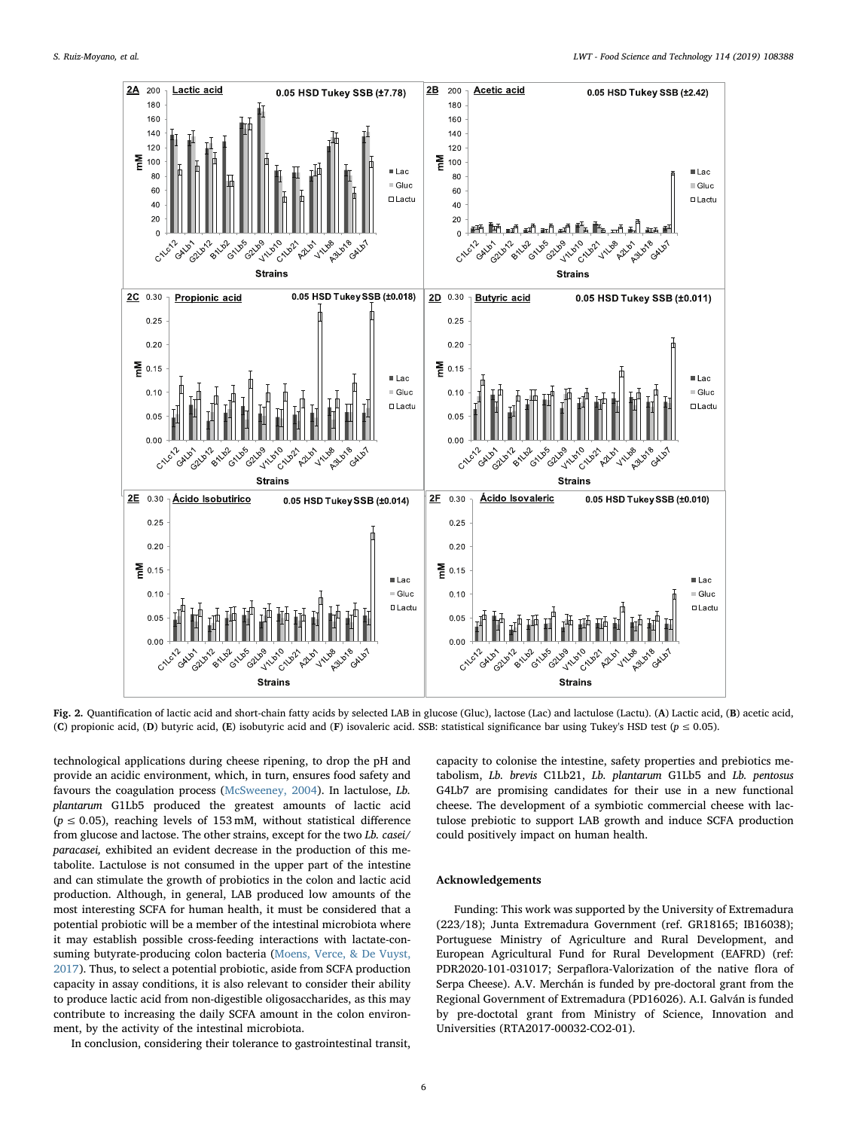<span id="page-5-0"></span>

Fig. 2. Quantification of lactic acid and short-chain fatty acids by selected LAB in glucose (Gluc), lactose (Lac) and lactulose (Lactu). (A) Lactic acid, (B) acetic acid, (C) propionic acid, (D) butyric acid, (E) isobutyric acid and (F) isovaleric acid. SSB: statistical significance bar using Tukey's HSD test ( $p \le 0.05$ ).

technological applications during cheese ripening, to drop the pH and provide an acidic environment, which, in turn, ensures food safety and favours the coagulation process ([McSweeney, 2004\)](#page-6-35). In lactulose, Lb. plantarum G1Lb5 produced the greatest amounts of lactic acid  $(p \le 0.05)$ , reaching levels of 153 mM, without statistical difference from glucose and lactose. The other strains, except for the two Lb. casei/ paracasei, exhibited an evident decrease in the production of this metabolite. Lactulose is not consumed in the upper part of the intestine and can stimulate the growth of probiotics in the colon and lactic acid production. Although, in general, LAB produced low amounts of the most interesting SCFA for human health, it must be considered that a potential probiotic will be a member of the intestinal microbiota where it may establish possible cross-feeding interactions with lactate-consuming butyrate-producing colon bacteria ([Moens, Verce, & De Vuyst,](#page-6-36) [2017\)](#page-6-36). Thus, to select a potential probiotic, aside from SCFA production capacity in assay conditions, it is also relevant to consider their ability to produce lactic acid from non-digestible oligosaccharides, as this may contribute to increasing the daily SCFA amount in the colon environment, by the activity of the intestinal microbiota.

In conclusion, considering their tolerance to gastrointestinal transit,

capacity to colonise the intestine, safety properties and prebiotics metabolism, Lb. brevis C1Lb21, Lb. plantarum G1Lb5 and Lb. pentosus G4Lb7 are promising candidates for their use in a new functional cheese. The development of a symbiotic commercial cheese with lactulose prebiotic to support LAB growth and induce SCFA production could positively impact on human health.

## Acknowledgements

Funding: This work was supported by the University of Extremadura (223/18); Junta Extremadura Government (ref. GR18165; IB16038); Portuguese Ministry of Agriculture and Rural Development, and European Agricultural Fund for Rural Development (EAFRD) (ref: PDR2020-101-031017; Serpaflora-Valorization of the native flora of Serpa Cheese). A.V. Merchán is funded by pre-doctoral grant from the Regional Government of Extremadura (PD16026). A.I. Galván is funded by pre-doctotal grant from Ministry of Science, Innovation and Universities (RTA2017-00032-CO2-01).